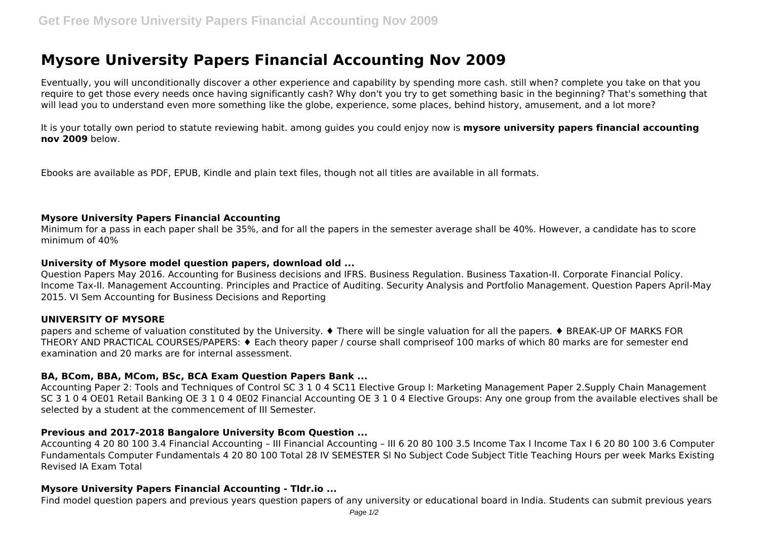# **Mysore University Papers Financial Accounting Nov 2009**

Eventually, you will unconditionally discover a other experience and capability by spending more cash. still when? complete you take on that you require to get those every needs once having significantly cash? Why don't you try to get something basic in the beginning? That's something that will lead you to understand even more something like the globe, experience, some places, behind history, amusement, and a lot more?

It is your totally own period to statute reviewing habit. among guides you could enjoy now is **mysore university papers financial accounting nov 2009** below.

Ebooks are available as PDF, EPUB, Kindle and plain text files, though not all titles are available in all formats.

## **Mysore University Papers Financial Accounting**

Minimum for a pass in each paper shall be 35%, and for all the papers in the semester average shall be 40%. However, a candidate has to score minimum of 40%

## **University of Mysore model question papers, download old ...**

Question Papers May 2016. Accounting for Business decisions and IFRS. Business Regulation. Business Taxation-II. Corporate Financial Policy. Income Tax-II. Management Accounting. Principles and Practice of Auditing. Security Analysis and Portfolio Management. Question Papers April-May 2015. VI Sem Accounting for Business Decisions and Reporting

## **UNIVERSITY OF MYSORE**

papers and scheme of valuation constituted by the University. ♦ There will be single valuation for all the papers. ♦ BREAK-UP OF MARKS FOR THEORY AND PRACTICAL COURSES/PAPERS: ♦ Each theory paper / course shall compriseof 100 marks of which 80 marks are for semester end examination and 20 marks are for internal assessment.

## **BA, BCom, BBA, MCom, BSc, BCA Exam Question Papers Bank ...**

Accounting Paper 2: Tools and Techniques of Control SC 3 1 0 4 SC11 Elective Group I: Marketing Management Paper 2.Supply Chain Management SC 3 1 0 4 OE01 Retail Banking OE 3 1 0 4 0E02 Financial Accounting OE 3 1 0 4 Elective Groups: Any one group from the available electives shall be selected by a student at the commencement of III Semester.

## **Previous and 2017-2018 Bangalore University Bcom Question ...**

Accounting 4 20 80 100 3.4 Financial Accounting – III Financial Accounting – III 6 20 80 100 3.5 Income Tax I Income Tax I 6 20 80 100 3.6 Computer Fundamentals Computer Fundamentals 4 20 80 100 Total 28 IV SEMESTER Sl No Subject Code Subject Title Teaching Hours per week Marks Existing Revised IA Exam Total

## **Mysore University Papers Financial Accounting - Tldr.io ...**

Find model question papers and previous years question papers of any university or educational board in India. Students can submit previous years